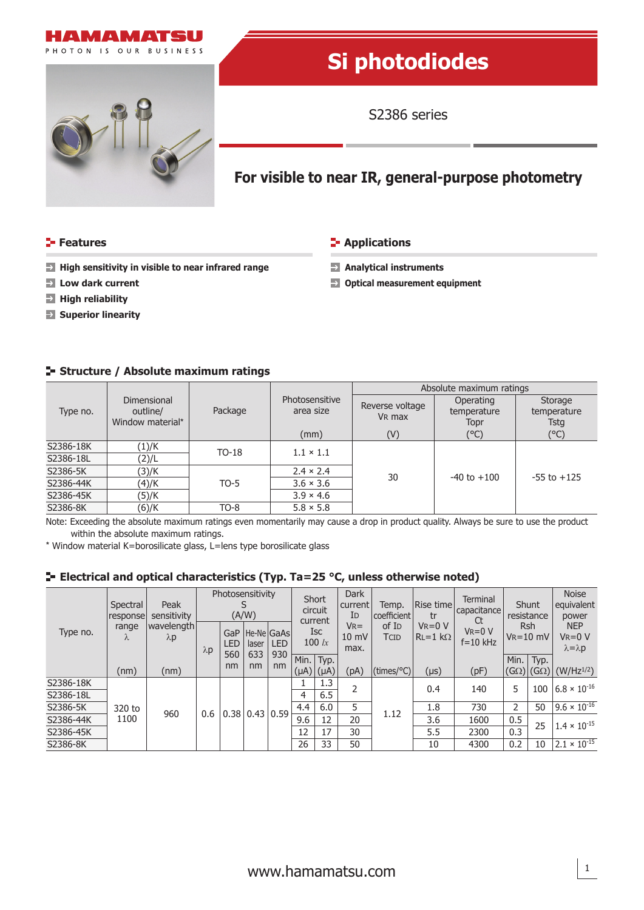



# **Si photodiodes**

S2386 series

## **For visible to near IR, general-purpose photometry**

#### **Features Contract Contract Contract Contract Contract Contract Contract Contract Contract Contract Contract Contract Contract Contract Contract Contract Contract Contract Contract Contract Contract Contract Contract Con**

- → High sensitivity in visible to near infrared range → Analytical instruments
- 
- **High reliability**
- **Superior linearity**
- 
- **Low dark current Optical measurement equipment**

#### **Structure / Absolute maximum ratings**

|           |                                             |         |                             | Absolute maximum ratings              |                                  |                                |  |  |  |
|-----------|---------------------------------------------|---------|-----------------------------|---------------------------------------|----------------------------------|--------------------------------|--|--|--|
| Type no.  | Dimensional<br>outline/<br>Window material* | Package | Photosensitive<br>area size | Reverse voltage<br>V <sub>R</sub> max | Operating<br>temperature<br>Topr | Storage<br>temperature<br>Tstg |  |  |  |
|           |                                             |         | (mm)                        | (V)                                   | (°C)                             | (°C)                           |  |  |  |
| S2386-18K | (1)/K                                       | $TO-18$ | $1.1 \times 1.1$            |                                       |                                  |                                |  |  |  |
| S2386-18L | (2)/L                                       |         |                             |                                       |                                  | $-55$ to $+125$                |  |  |  |
| S2386-5K  | (3)/K                                       |         | $2.4 \times 2.4$            | 30                                    | $-40$ to $+100$                  |                                |  |  |  |
| S2386-44K | (4)/K                                       | $TO-5$  | $3.6 \times 3.6$            |                                       |                                  |                                |  |  |  |
| S2386-45K | (5)/K                                       |         | $3.9 \times 4.6$            |                                       |                                  |                                |  |  |  |
| S2386-8K  | (6)/K                                       | $TO-8$  | $5.8 \times 5.8$            |                                       |                                  |                                |  |  |  |

Note: Exceeding the absolute maximum ratings even momentarily may cause a drop in product quality. Always be sure to use the product within the absolute maximum ratings.

\* Window material K=borosilicate glass, L=lens type borosilicate glass

#### **Electrical and optical characteristics (Typ. Ta=25 °C, unless otherwise noted)**

| Type no.  | Spectral<br>response<br>range<br>Λ | Peak<br>sensitivity<br>Iwavelength l<br>$\lambda$ p | Photosensitivity<br>(A/W) |                         |                            | Short<br>circuit<br>current |                        | <b>Dark</b><br>current<br>ID | Temp.<br>coefficient                 | Rise time <br>tr          | Terminal<br>capacitance<br>Ct | Shunt<br>resistance         |                      | <b>Noise</b><br>equivalent<br>power |                                                    |
|-----------|------------------------------------|-----------------------------------------------------|---------------------------|-------------------------|----------------------------|-----------------------------|------------------------|------------------------------|--------------------------------------|---------------------------|-------------------------------|-----------------------------|----------------------|-------------------------------------|----------------------------------------------------|
|           |                                    |                                                     | $\lambda p$               | GaP<br>LED <sup>-</sup> | He-NelGaAs<br>laser        | <b>LED</b>                  | <b>Isc</b><br>100 $lx$ |                              | $V_{R} =$<br>$10 \text{ mV}$<br>max. | of I <sub>D</sub><br>TCID | $V_R = 0 V$<br>$RL=1 k\Omega$ | $V_R = 0 V$<br>$f = 10$ kHz | Rsh<br>$V_R = 10$ mV |                                     | <b>NEP</b><br>$V_R = 0 V$<br>$\lambda = \lambda p$ |
|           | (nm)                               | (nm)                                                |                           | 560<br>nm               | 633<br>nm                  | 930<br>nm                   | $(\mu A)$              | Min.   Typ.<br>$(\mu A)$     | (pA)                                 | $(times/{}^{\circ}C)$     | $(\mu s)$                     | (pF)                        | Min.                 | Typ.<br>$(G\Omega)$  (G $\Omega$ )  | $(W/Hz^{1/2})$                                     |
| S2386-18K | 320 to<br>1100                     | 960                                                 | 0.6                       |                         | $0.38 \mid 0.43 \mid 0.59$ |                             |                        | 1.3                          |                                      | 1.12                      | 0.4                           | 140                         | 5                    | 100                                 | $6.8 \times 10^{-16}$                              |
| S2386-18L |                                    |                                                     |                           |                         |                            |                             | 4                      | 6.5                          |                                      |                           |                               |                             |                      |                                     |                                                    |
| S2386-5K  |                                    |                                                     |                           |                         |                            |                             | 4.4                    | 6.0                          | 5                                    |                           | 1.8                           | 730                         | 2                    | 50                                  | $9.6 \times 10^{-16}$                              |
| S2386-44K |                                    |                                                     |                           |                         |                            |                             | 9.6                    | 12                           | 20                                   |                           | 3.6                           | 1600                        | 0.5                  | 25                                  | $1.4 \times 10^{-15}$                              |
| S2386-45K |                                    |                                                     |                           |                         |                            |                             | 12                     | 17                           | 30                                   |                           | 5.5<br>2300                   | 0.3                         |                      |                                     |                                                    |
| S2386-8K  |                                    |                                                     |                           |                         |                            |                             | 26                     | 33                           | 50                                   |                           | 10                            | 4300                        | 0.2                  | 10                                  | $2.1 \times 10^{-15}$                              |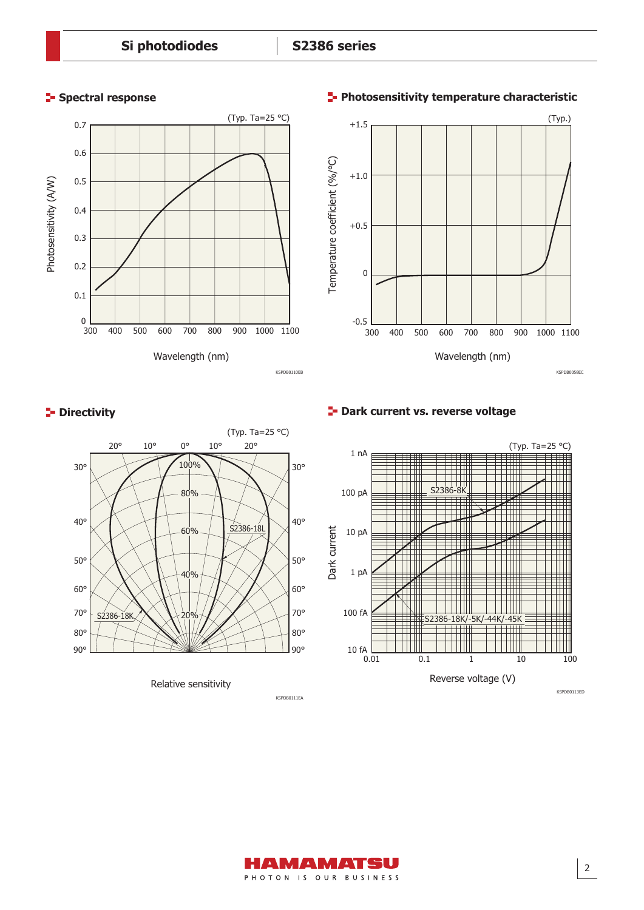### **Spectral response**



(Typ.)  $+1.5$ Temperature coefficient (%/°C) Temperature coefficient (%/°C)  $+1.0$ +0.5 0  $-0.5$   $\overline{\phantom{0}}$  300 300 400 600 700 500 800 900 1000 1100 Wavelength (nm) KSPDB0058EC

### **P** Directivity



Relative sensitivity

**Dark current vs. reverse voltage**



### **Photosensitivity temperature characteristic**



KSPDB0111EA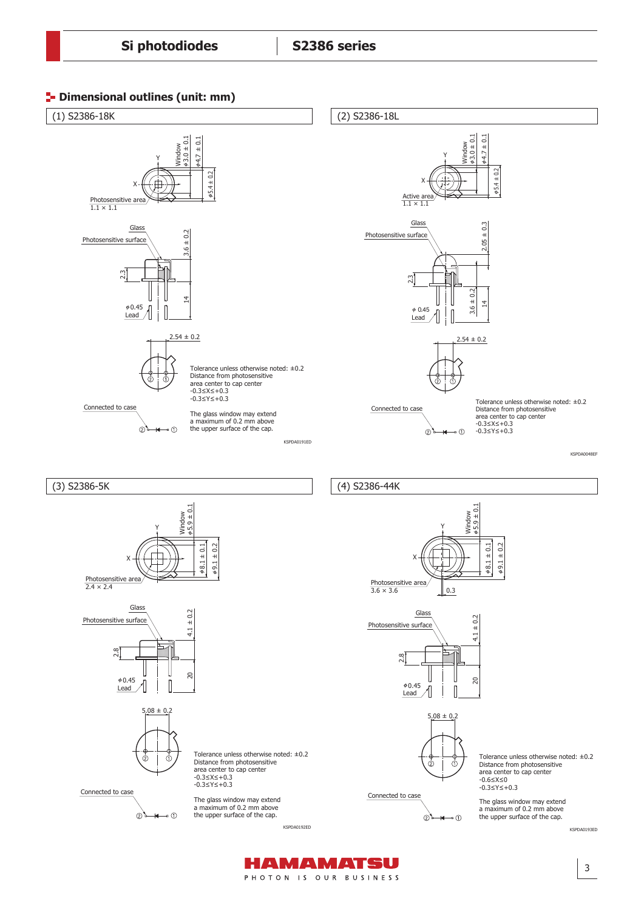



HAMAMATSU PHOTON IS OUR BUSINESS

3